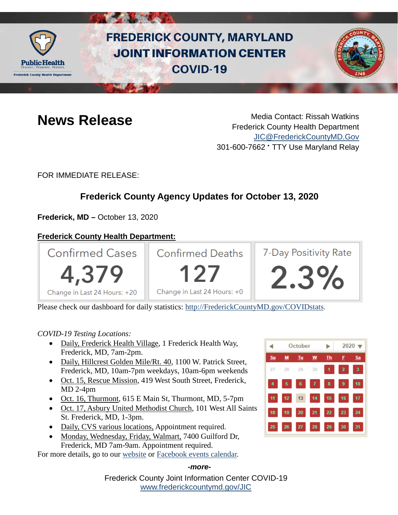

# **FREDERICK COUNTY, MARYLAND JOINT INFORMATION CENTER COVID-19**



**News Release** Media Contact: Rissah Watkins Frederick County Health Department [JIC@FrederickCountyMD.Gov](mailto:JIC@FrederickCountyMD.Gov) 301-600-7662 • TTY Use Maryland Relay

FOR IMMEDIATE RELEASE:

## **Frederick County Agency Updates for October 13, 2020**

**Frederick, MD –** October 13, 2020

### **Frederick County Health Department:**



Please check our dashboard for daily statistics: [http://FrederickCountyMD.gov/COVIDstats.](http://frederickcountymd.gov/COVIDstats)

### *COVID-19 Testing Locations:*

- Daily, Frederick Health Village, 1 Frederick Health Way, Frederick, MD, 7am-2pm.
- Daily, Hillcrest Golden Mile/Rt. 40, 1100 W. Patrick Street, Frederick, MD, 10am-7pm weekdays, 10am-6pm weekends
- Oct. 15, Rescue Mission, 419 West South Street, Frederick, MD 2-4pm
- Oct. 16, Thurmont, 615 E Main St, Thurmont, MD, 5-7pm
- Oct. 17, Asbury United Methodist Church, 101 West All Saints St. Frederick, MD, 1-3pm.
- Daily, CVS various locations, Appointment required.
- Monday, Wednesday, Friday, Walmart, 7400 Guilford Dr, Frederick, MD 7am-9am. Appointment required.

For more details, go to our [website](https://health.frederickcountymd.gov/614/Novel-Coronavirus-COVID-19) or [Facebook events calendar.](https://www.facebook.com/fchealthdept/events/)

# $2020 -$ October Su Tu W 27 29 28

#### *-more-*

Frederick County Joint Information Center COVID-19 [www.frederickcountymd.gov/JIC](https://frederickcountymd.gov/JIC)